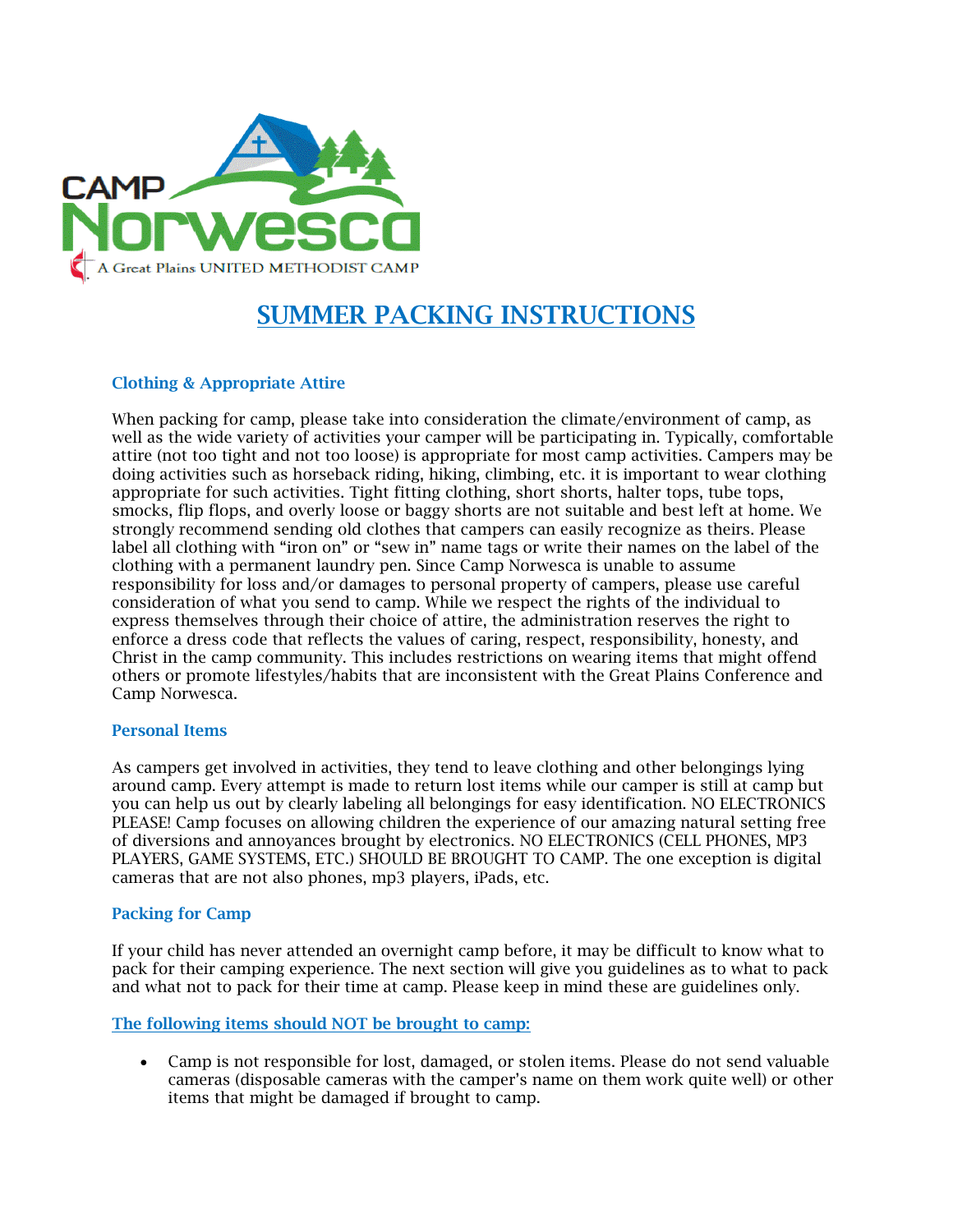

# SUMMER PACKING INSTRUCTIONS

# Clothing & Appropriate Attire

When packing for camp, please take into consideration the climate/environment of camp, as well as the wide variety of activities your camper will be participating in. Typically, comfortable attire (not too tight and not too loose) is appropriate for most camp activities. Campers may be doing activities such as horseback riding, hiking, climbing, etc. it is important to wear clothing appropriate for such activities. Tight fitting clothing, short shorts, halter tops, tube tops, smocks, flip flops, and overly loose or baggy shorts are not suitable and best left at home. We strongly recommend sending old clothes that campers can easily recognize as theirs. Please label all clothing with "iron on" or "sew in" name tags or write their names on the label of the clothing with a permanent laundry pen. Since Camp Norwesca is unable to assume responsibility for loss and/or damages to personal property of campers, please use careful consideration of what you send to camp. While we respect the rights of the individual to express themselves through their choice of attire, the administration reserves the right to enforce a dress code that reflects the values of caring, respect, responsibility, honesty, and Christ in the camp community. This includes restrictions on wearing items that might offend others or promote lifestyles/habits that are inconsistent with the Great Plains Conference and Camp Norwesca.

#### Personal Items

As campers get involved in activities, they tend to leave clothing and other belongings lying around camp. Every attempt is made to return lost items while our camper is still at camp but you can help us out by clearly labeling all belongings for easy identification. NO ELECTRONICS PLEASE! Camp focuses on allowing children the experience of our amazing natural setting free of diversions and annoyances brought by electronics. NO ELECTRONICS (CELL PHONES, MP3 PLAYERS, GAME SYSTEMS, ETC.) SHOULD BE BROUGHT TO CAMP. The one exception is digital cameras that are not also phones, mp3 players, iPads, etc.

## Packing for Camp

If your child has never attended an overnight camp before, it may be difficult to know what to pack for their camping experience. The next section will give you guidelines as to what to pack and what not to pack for their time at camp. Please keep in mind these are guidelines only.

## The following items should NOT be brought to camp:

• Camp is not responsible for lost, damaged, or stolen items. Please do not send valuable cameras (disposable cameras with the camper's name on them work quite well) or other items that might be damaged if brought to camp.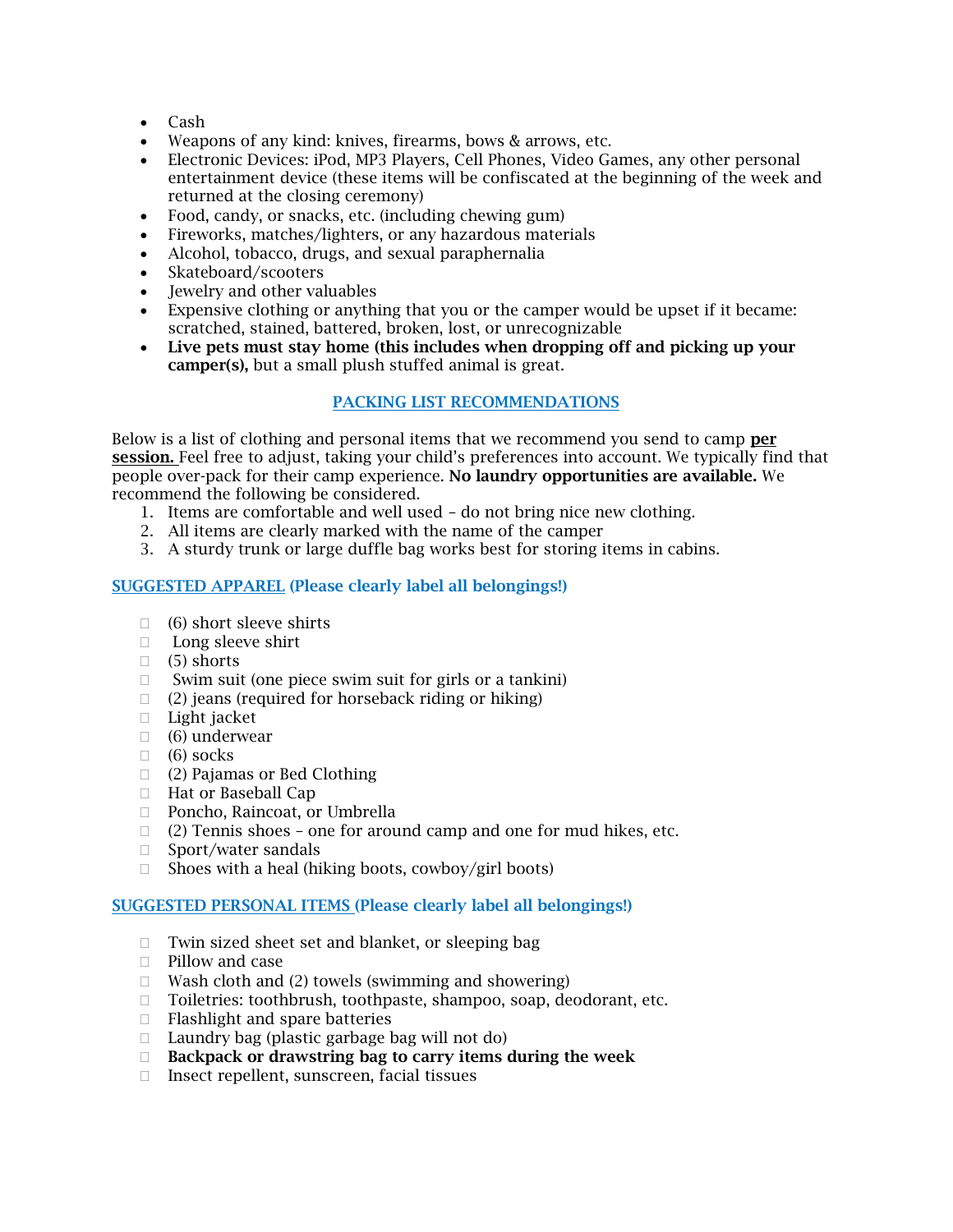- Cash
- Weapons of any kind: knives, firearms, bows & arrows, etc.
- Electronic Devices: iPod, MP3 Players, Cell Phones, Video Games, any other personal entertainment device (these items will be confiscated at the beginning of the week and returned at the closing ceremony)
- Food, candy, or snacks, etc. (including chewing gum)
- Fireworks, matches/lighters, or any hazardous materials
- Alcohol, tobacco, drugs, and sexual paraphernalia
- Skateboard/scooters
- Jewelry and other valuables
- Expensive clothing or anything that you or the camper would be upset if it became: scratched, stained, battered, broken, lost, or unrecognizable
- Live pets must stay home (this includes when dropping off and picking up your camper(s), but a small plush stuffed animal is great.

# PACKING LIST RECOMMENDATIONS

Below is a list of clothing and personal items that we recommend you send to camp per session. Feel free to adjust, taking your child's preferences into account. We typically find that people over-pack for their camp experience. No laundry opportunities are available. We recommend the following be considered.

- 1. Items are comfortable and well used do not bring nice new clothing.
- 2. All items are clearly marked with the name of the camper
- 3. A sturdy trunk or large duffle bag works best for storing items in cabins.

## SUGGESTED APPAREL (Please clearly label all belongings!)

- $\Box$  (6) short sleeve shirts
- □ Long sleeve shirt
- $\Box$  (5) shorts
- $\Box$  Swim suit (one piece swim suit for girls or a tankini)
- $\Box$  (2) jeans (required for horseback riding or hiking)
- $\Box$  Light jacket
- (6) underwear
- $\Box$  (6) socks
- (2) Pajamas or Bed Clothing
- □ Hat or Baseball Cap
- □ Poncho, Raincoat, or Umbrella
- $\Box$  (2) Tennis shoes one for around camp and one for mud hikes, etc.
- □ Sport/water sandals
- $\Box$  Shoes with a heal (hiking boots, cowboy/girl boots)

#### SUGGESTED PERSONAL ITEMS (Please clearly label all belongings!)

- $\Box$  Twin sized sheet set and blanket, or sleeping bag
- $\Box$  Pillow and case
- $\Box$  Wash cloth and (2) towels (swimming and showering)
- □ Toiletries: toothbrush, toothpaste, shampoo, soap, deodorant, etc.
- $\Box$  Flashlight and spare batteries
- $\Box$  Laundry bag (plastic garbage bag will not do)
- $\Box$  Backpack or drawstring bag to carry items during the week
- $\Box$  Insect repellent, sunscreen, facial tissues